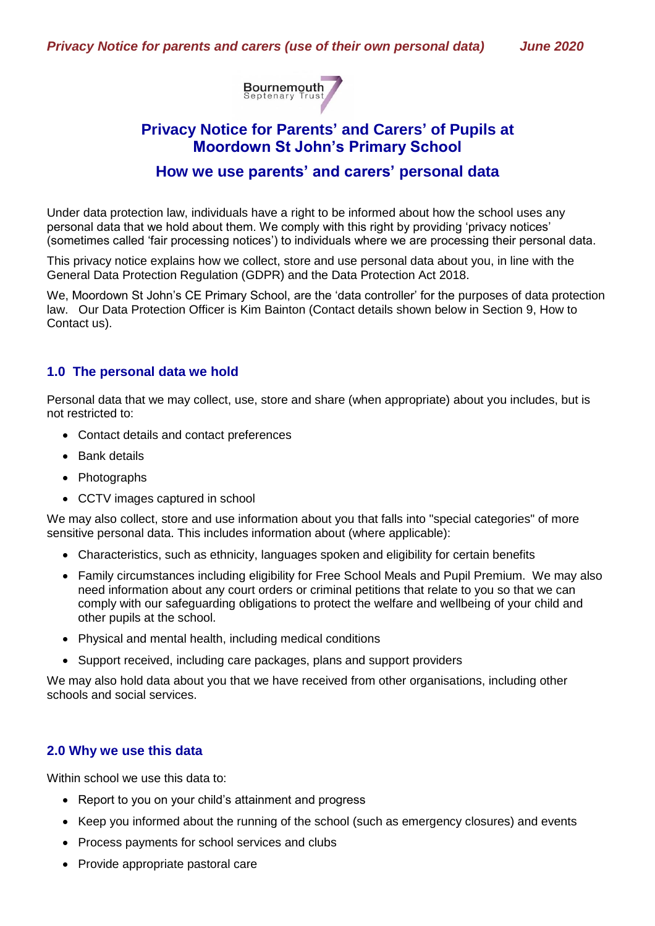

# **Privacy Notice for Parents' and Carers' of Pupils at Moordown St John's Primary School**

# **How we use parents' and carers' personal data**

Under data protection law, individuals have a right to be informed about how the school uses any personal data that we hold about them. We comply with this right by providing 'privacy notices' (sometimes called 'fair processing notices') to individuals where we are processing their personal data.

This privacy notice explains how we collect, store and use personal data about you, in line with the General Data Protection Regulation (GDPR) and the Data Protection Act 2018.

We, Moordown St John's CE Primary School, are the 'data controller' for the purposes of data protection law. Our Data Protection Officer is Kim Bainton (Contact details shown below in Section 9, How to Contact us).

# **1.0 The personal data we hold**

Personal data that we may collect, use, store and share (when appropriate) about you includes, but is not restricted to:

- Contact details and contact preferences
- Bank details
- Photographs
- CCTV images captured in school

We may also collect, store and use information about you that falls into "special categories" of more sensitive personal data. This includes information about (where applicable):

- Characteristics, such as ethnicity, languages spoken and eligibility for certain benefits
- Family circumstances including eligibility for Free School Meals and Pupil Premium. We may also need information about any court orders or criminal petitions that relate to you so that we can comply with our safeguarding obligations to protect the welfare and wellbeing of your child and other pupils at the school.
- Physical and mental health, including medical conditions
- Support received, including care packages, plans and support providers

We may also hold data about you that we have received from other organisations, including other schools and social services.

# **2.0 Why we use this data**

Within school we use this data to:

- Report to you on your child's attainment and progress
- Keep you informed about the running of the school (such as emergency closures) and events
- Process payments for school services and clubs
- Provide appropriate pastoral care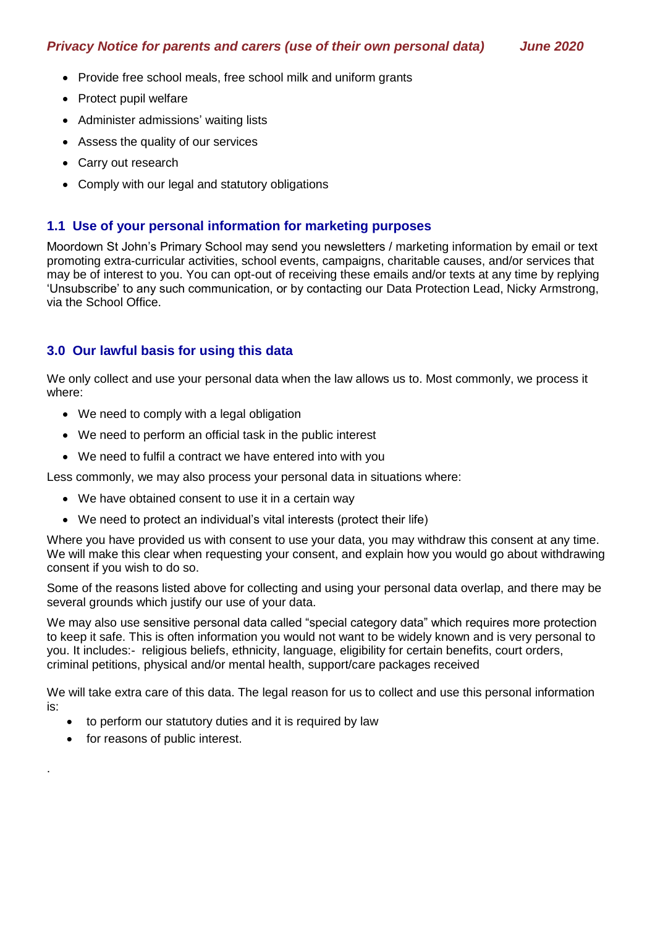- Provide free school meals, free school milk and uniform grants
- Protect pupil welfare
- Administer admissions' waiting lists
- Assess the quality of our services
- Carry out research
- Comply with our legal and statutory obligations

# **1.1 Use of your personal information for marketing purposes**

Moordown St John's Primary School may send you newsletters / marketing information by email or text promoting extra-curricular activities, school events, campaigns, charitable causes, and/or services that may be of interest to you. You can opt-out of receiving these emails and/or texts at any time by replying 'Unsubscribe' to any such communication, or by contacting our Data Protection Lead, Nicky Armstrong, via the School Office.

# **3.0 Our lawful basis for using this data**

We only collect and use your personal data when the law allows us to. Most commonly, we process it where:

- We need to comply with a legal obligation
- We need to perform an official task in the public interest
- We need to fulfil a contract we have entered into with you

Less commonly, we may also process your personal data in situations where:

- We have obtained consent to use it in a certain way
- We need to protect an individual's vital interests (protect their life)

Where you have provided us with consent to use your data, you may withdraw this consent at any time. We will make this clear when requesting your consent, and explain how you would go about withdrawing consent if you wish to do so.

Some of the reasons listed above for collecting and using your personal data overlap, and there may be several grounds which justify our use of your data.

We may also use sensitive personal data called "special category data" which requires more protection to keep it safe. This is often information you would not want to be widely known and is very personal to you. It includes:- religious beliefs, ethnicity, language, eligibility for certain benefits, court orders, criminal petitions, physical and/or mental health, support/care packages received

We will take extra care of this data. The legal reason for us to collect and use this personal information is:

- to perform our statutory duties and it is required by law
- for reasons of public interest.

.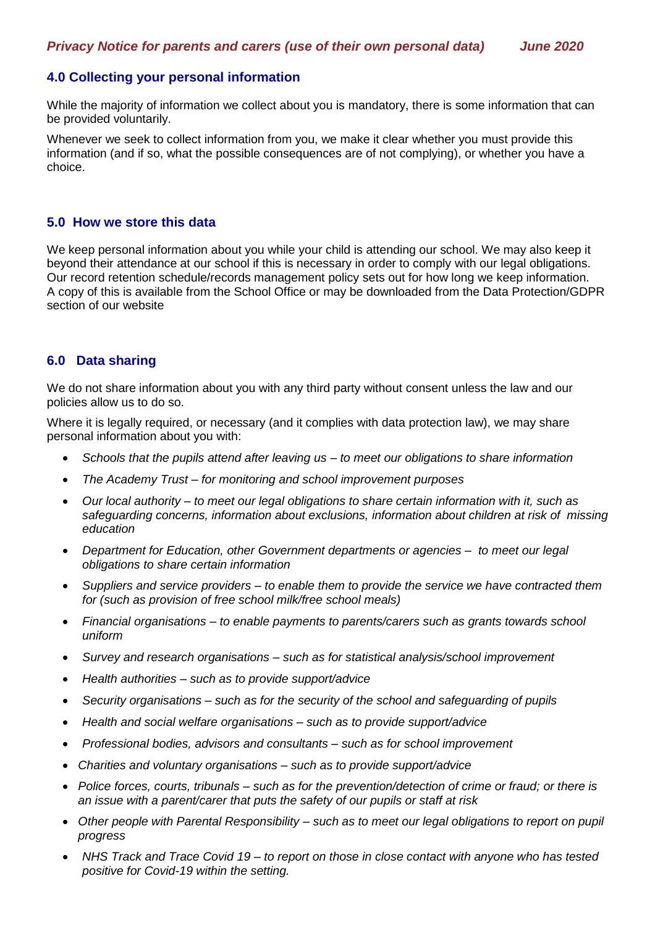# **4.0 Collecting your personal information**

While the majority of information we collect about you is mandatory, there is some information that can be provided voluntarily.

Whenever we seek to collect information from you, we make it clear whether you must provide this information (and if so, what the possible consequences are of not complying), or whether you have a choice.

## **5.0 How we store this data**

We keep personal information about you while your child is attending our school. We may also keep it beyond their attendance at our school if this is necessary in order to comply with our legal obligations. Our record retention schedule/records management policy sets out for how long we keep information. A copy of this is available from the School Office or may be downloaded from the Data Protection/GDPR section of our website

## **6.0 Data sharing**

We do not share information about you with any third party without consent unless the law and our policies allow us to do so.

Where it is legally required, or necessary (and it complies with data protection law), we may share personal information about you with:

- *Schools that the pupils attend after leaving us – to meet our obligations to share information*
- *The Academy Trust – for monitoring and school improvement purposes*
- *Our local authority – to meet our legal obligations to share certain information with it, such as safeguarding concerns, information about exclusions, information about children at risk of missing education*
- *Department for Education, other Government departments or agencies – to meet our legal obligations to share certain information*
- *Suppliers and service providers – to enable them to provide the service we have contracted them for (such as provision of free school milk/free school meals)*
- *Financial organisations – to enable payments to parents/carers such as grants towards school uniform*
- *Survey and research organisations – such as for statistical analysis/school improvement*
- *Health authorities – such as to provide support/advice*
- *Security organisations – such as for the security of the school and safeguarding of pupils*
- *Health and social welfare organisations – such as to provide support/advice*
- *Professional bodies, advisors and consultants – such as for school improvement*
- *Charities and voluntary organisations – such as to provide support/advice*
- *Police forces, courts, tribunals – such as for the prevention/detection of crime or fraud; or there is an issue with a parent/carer that puts the safety of our pupils or staff at risk*
- *Other people with Parental Responsibility – such as to meet our legal obligations to report on pupil progress*
- *NHS Track and Trace Covid 19 – to report on those in close contact with anyone who has tested positive for Covid-19 within the setting.*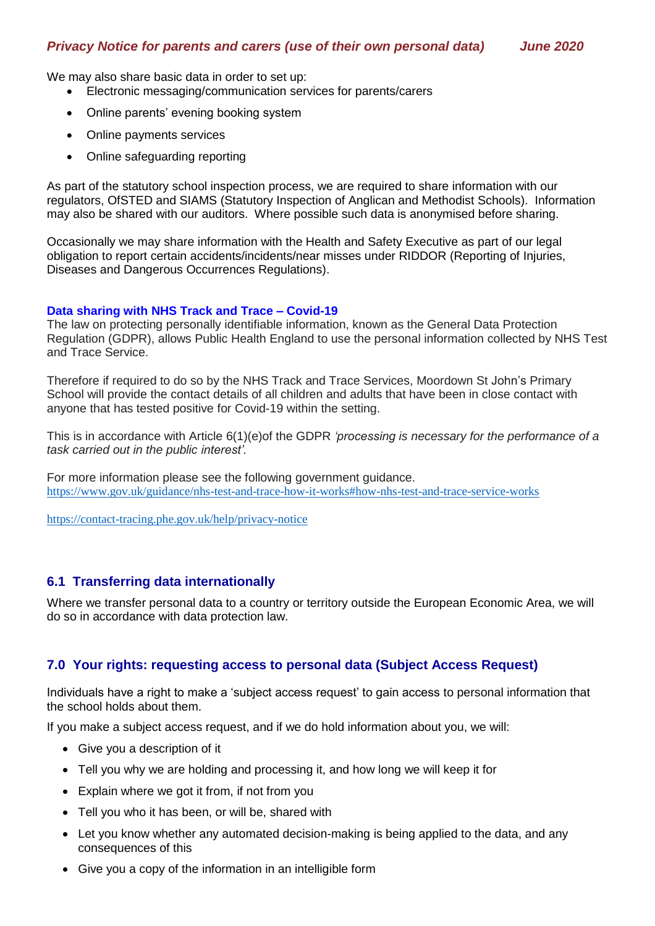We may also share basic data in order to set up:

- Electronic messaging/communication services for parents/carers
- Online parents' evening booking system
- Online payments services
- Online safeguarding reporting

As part of the statutory school inspection process, we are required to share information with our regulators, OfSTED and SIAMS (Statutory Inspection of Anglican and Methodist Schools). Information may also be shared with our auditors. Where possible such data is anonymised before sharing.

Occasionally we may share information with the Health and Safety Executive as part of our legal obligation to report certain accidents/incidents/near misses under RIDDOR (Reporting of Injuries, Diseases and Dangerous Occurrences Regulations).

#### **Data sharing with NHS Track and Trace – Covid-19**

The law on protecting personally identifiable information, known as the General Data Protection Regulation (GDPR), allows Public Health England to use the personal information collected by NHS Test and Trace Service.

Therefore if required to do so by the NHS Track and Trace Services, Moordown St John's Primary School will provide the contact details of all children and adults that have been in close contact with anyone that has tested positive for Covid-19 within the setting.

This is in accordance with Article 6(1)(e)of the GDPR *'processing is necessary for the performance of a task carried out in the public interest'.*

For more information please see the following government guidance. <https://www.gov.uk/guidance/nhs-test-and-trace-how-it-works#how-nhs-test-and-trace-service-works>

<https://contact-tracing.phe.gov.uk/help/privacy-notice>

## **6.1 Transferring data internationally**

Where we transfer personal data to a country or territory outside the European Economic Area, we will do so in accordance with data protection law.

## **7.0 Your rights: requesting access to personal data (Subject Access Request)**

Individuals have a right to make a 'subject access request' to gain access to personal information that the school holds about them.

If you make a subject access request, and if we do hold information about you, we will:

- Give you a description of it
- Tell you why we are holding and processing it, and how long we will keep it for
- Explain where we got it from, if not from you
- Tell you who it has been, or will be, shared with
- Let you know whether any automated decision-making is being applied to the data, and any consequences of this
- Give you a copy of the information in an intelligible form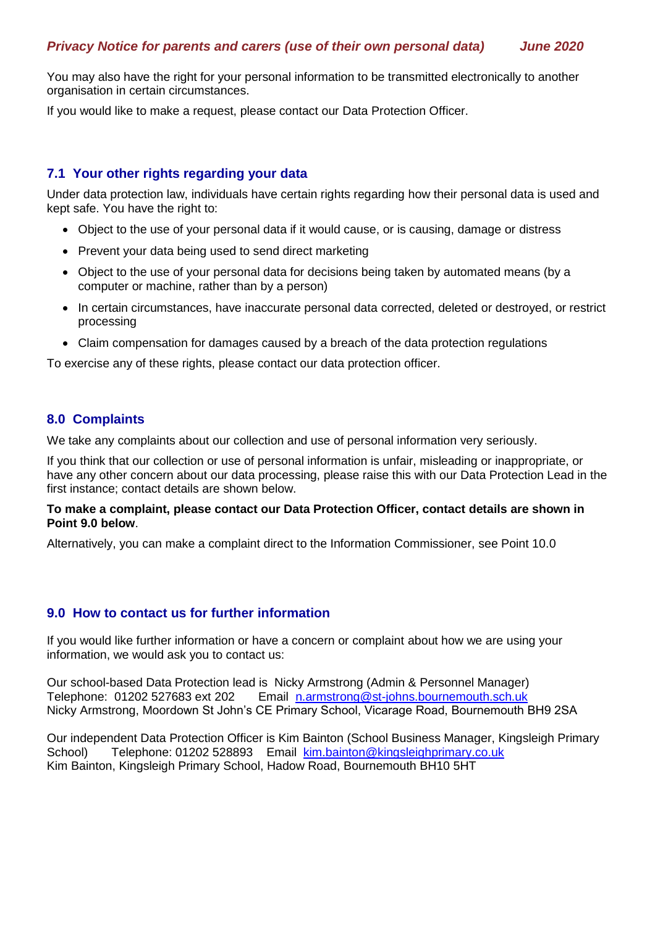You may also have the right for your personal information to be transmitted electronically to another organisation in certain circumstances.

If you would like to make a request, please contact our Data Protection Officer.

# **7.1 Your other rights regarding your data**

Under data protection law, individuals have certain rights regarding how their personal data is used and kept safe. You have the right to:

- Object to the use of your personal data if it would cause, or is causing, damage or distress
- Prevent your data being used to send direct marketing
- Object to the use of your personal data for decisions being taken by automated means (by a computer or machine, rather than by a person)
- In certain circumstances, have inaccurate personal data corrected, deleted or destroyed, or restrict processing
- Claim compensation for damages caused by a breach of the data protection regulations

To exercise any of these rights, please contact our data protection officer.

# **8.0 Complaints**

We take any complaints about our collection and use of personal information very seriously.

If you think that our collection or use of personal information is unfair, misleading or inappropriate, or have any other concern about our data processing, please raise this with our Data Protection Lead in the first instance; contact details are shown below.

#### **To make a complaint, please contact our Data Protection Officer, contact details are shown in Point 9.0 below**.

Alternatively, you can make a complaint direct to the Information Commissioner, see Point 10.0

## **9.0 How to contact us for further information**

If you would like further information or have a concern or complaint about how we are using your information, we would ask you to contact us:

Our school-based Data Protection lead is Nicky Armstrong (Admin & Personnel Manager) Telephone: 01202 527683 ext 202 Email [n.armstrong@st-johns.bournemouth.sch.uk](mailto:n.armstrong@st-johns.bournemouth.sch.uk) Nicky Armstrong, Moordown St John's CE Primary School, Vicarage Road, Bournemouth BH9 2SA

Our independent Data Protection Officer is Kim Bainton (School Business Manager, Kingsleigh Primary School) Telephone: 01202 528893 Email [kim.bainton@kingsleighprimary.co.uk](mailto:kim.bainton@kingsleighprimary.co.uk) Kim Bainton, Kingsleigh Primary School, Hadow Road, Bournemouth BH10 5HT